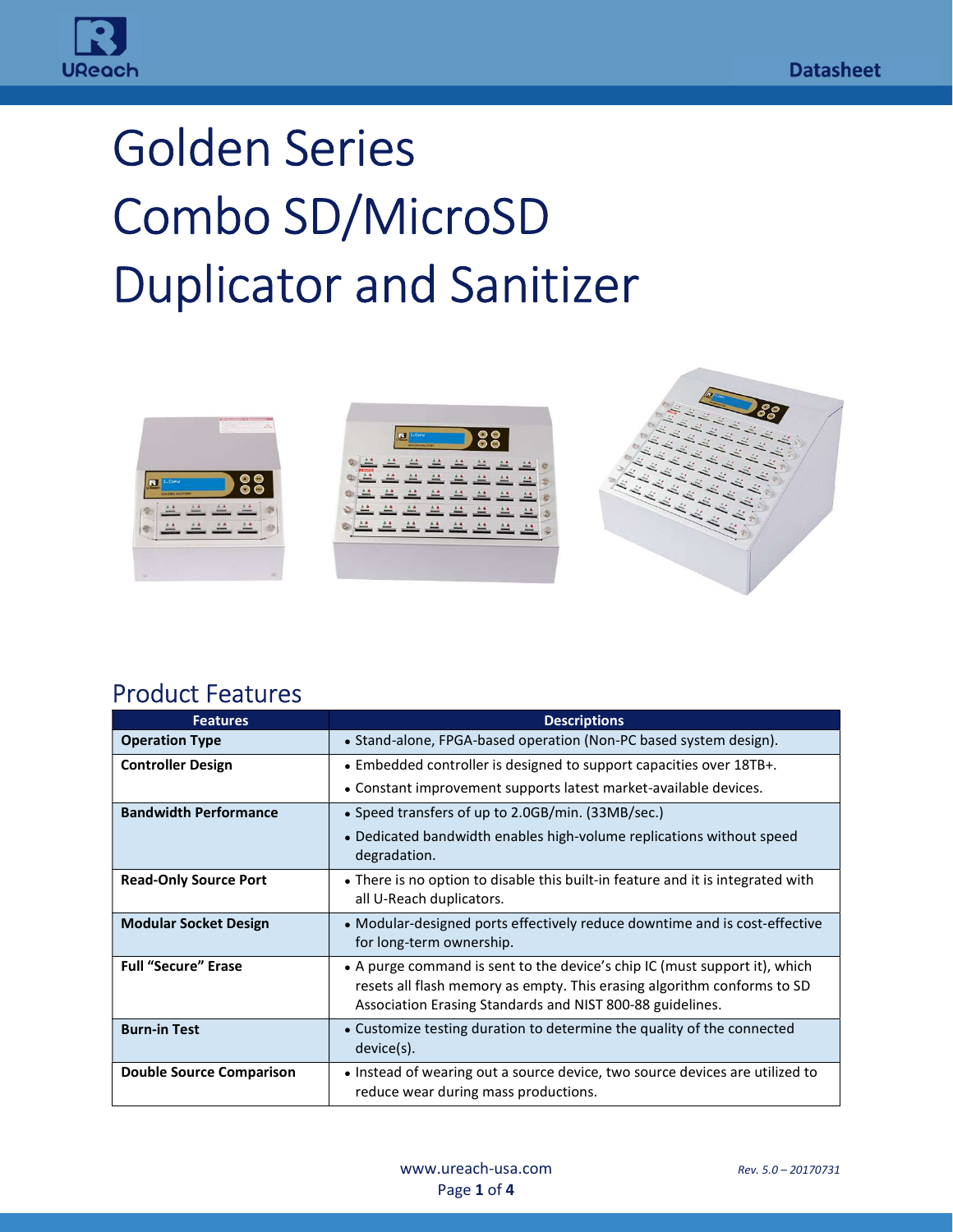

# Golden Series Combo SD/MicroSD Duplicator and Sanitizer



#### Product Features

i<br>T

| <b>Features</b>                 | <b>Descriptions</b>                                                                                                                                                                                                |
|---------------------------------|--------------------------------------------------------------------------------------------------------------------------------------------------------------------------------------------------------------------|
| <b>Operation Type</b>           | • Stand-alone, FPGA-based operation (Non-PC based system design).                                                                                                                                                  |
| <b>Controller Design</b>        | • Embedded controller is designed to support capacities over 18TB+.                                                                                                                                                |
|                                 | • Constant improvement supports latest market-available devices.                                                                                                                                                   |
| <b>Bandwidth Performance</b>    | • Speed transfers of up to 2.0GB/min. (33MB/sec.)                                                                                                                                                                  |
|                                 | • Dedicated bandwidth enables high-volume replications without speed<br>degradation.                                                                                                                               |
| <b>Read-Only Source Port</b>    | • There is no option to disable this built-in feature and it is integrated with<br>all U-Reach duplicators.                                                                                                        |
| <b>Modular Socket Design</b>    | • Modular-designed ports effectively reduce downtime and is cost-effective<br>for long-term ownership.                                                                                                             |
| <b>Full "Secure" Erase</b>      | • A purge command is sent to the device's chip IC (must support it), which<br>resets all flash memory as empty. This erasing algorithm conforms to SD<br>Association Erasing Standards and NIST 800-88 guidelines. |
| <b>Burn-in Test</b>             | • Customize testing duration to determine the quality of the connected<br>device(s).                                                                                                                               |
| <b>Double Source Comparison</b> | • Instead of wearing out a source device, two source devices are utilized to<br>reduce wear during mass productions.                                                                                               |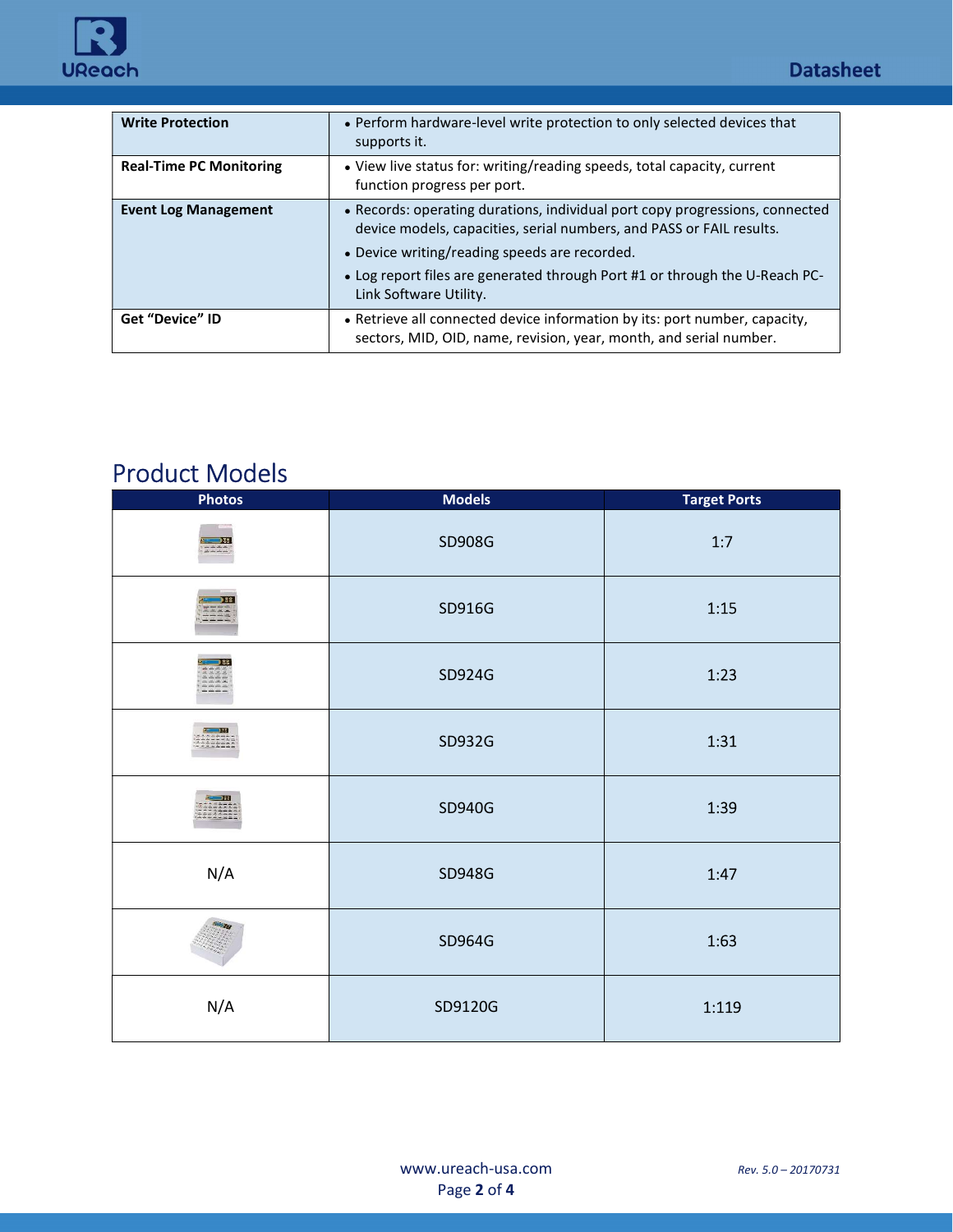

| <b>Write Protection</b>        | • Perform hardware-level write protection to only selected devices that<br>supports it.                                                                                                                                                                                                                        |
|--------------------------------|----------------------------------------------------------------------------------------------------------------------------------------------------------------------------------------------------------------------------------------------------------------------------------------------------------------|
| <b>Real-Time PC Monitoring</b> | • View live status for: writing/reading speeds, total capacity, current<br>function progress per port.                                                                                                                                                                                                         |
| <b>Event Log Management</b>    | • Records: operating durations, individual port copy progressions, connected<br>device models, capacities, serial numbers, and PASS or FAIL results.<br>• Device writing/reading speeds are recorded.<br>• Log report files are generated through Port #1 or through the U-Reach PC-<br>Link Software Utility. |
| <b>Get "Device" ID</b>         | • Retrieve all connected device information by its: port number, capacity,<br>sectors, MID, OID, name, revision, year, month, and serial number.                                                                                                                                                               |

## Product Models

i<br>T

| <b>Photos</b>                                | <b>Models</b> | <b>Target Ports</b> |
|----------------------------------------------|---------------|---------------------|
| D89.<br>立立立立                                 | SD908G        | $1:7$               |
| 582<br><b>LANCING</b>                        | SD916G        | 1:15                |
| 38<br><b>JAN SATIA</b><br>the same sales and | SD924G        | 1:23                |
| $\sim$ 19                                    | SD932G        | 1:31                |
| $\rightarrow$ 32<br>222222:                  | SD940G        | 1:39                |
| N/A                                          | SD948G        | 1:47                |
|                                              | SD964G        | 1:63                |
| N/A                                          | SD9120G       | 1:119               |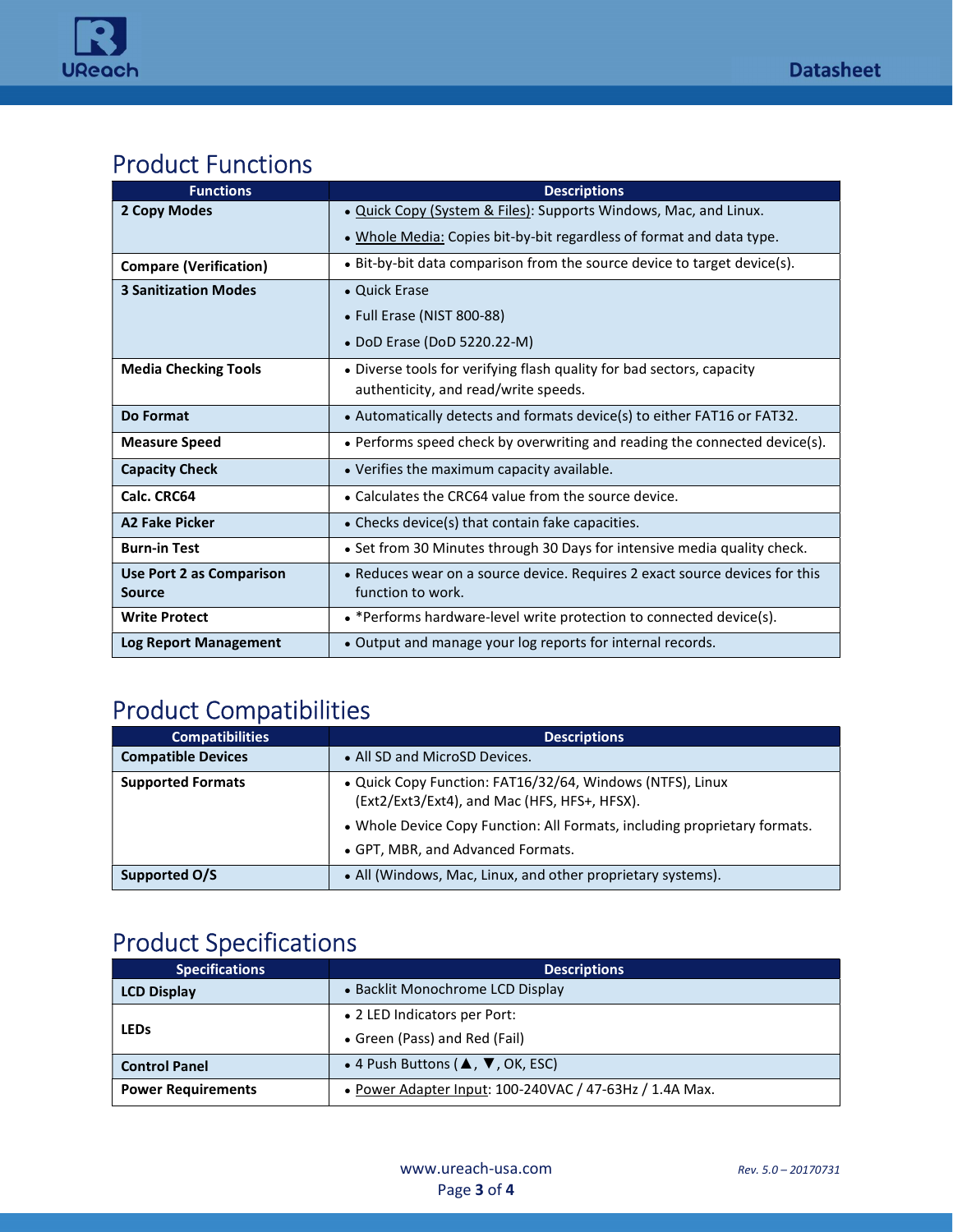

## Product Functions

| <b>Functions</b>              | <b>Descriptions</b>                                                         |
|-------------------------------|-----------------------------------------------------------------------------|
| 2 Copy Modes                  | . Quick Copy (System & Files): Supports Windows, Mac, and Linux.            |
|                               | . Whole Media: Copies bit-by-bit regardless of format and data type.        |
| <b>Compare (Verification)</b> | • Bit-by-bit data comparison from the source device to target device(s).    |
| <b>3 Sanitization Modes</b>   | • Quick Erase                                                               |
|                               | • Full Erase (NIST 800-88)                                                  |
|                               | • DoD Erase (DoD 5220.22-M)                                                 |
| <b>Media Checking Tools</b>   | • Diverse tools for verifying flash quality for bad sectors, capacity       |
|                               | authenticity, and read/write speeds.                                        |
| Do Format                     | • Automatically detects and formats device(s) to either FAT16 or FAT32.     |
| <b>Measure Speed</b>          | • Performs speed check by overwriting and reading the connected device(s).  |
| <b>Capacity Check</b>         | • Verifies the maximum capacity available.                                  |
| Calc. CRC64                   | • Calculates the CRC64 value from the source device.                        |
| A <sub>2</sub> Fake Picker    | • Checks device(s) that contain fake capacities.                            |
| <b>Burn-in Test</b>           | • Set from 30 Minutes through 30 Days for intensive media quality check.    |
| Use Port 2 as Comparison      | • Reduces wear on a source device. Requires 2 exact source devices for this |
| <b>Source</b>                 | function to work.                                                           |
| <b>Write Protect</b>          | • *Performs hardware-level write protection to connected device(s).         |
| <b>Log Report Management</b>  | • Output and manage your log reports for internal records.                  |

### Product Compatibilities

| <b>Compatibilities</b>    | <b>Descriptions</b>                                                                                       |
|---------------------------|-----------------------------------------------------------------------------------------------------------|
| <b>Compatible Devices</b> | • All SD and MicroSD Devices.                                                                             |
| <b>Supported Formats</b>  | • Quick Copy Function: FAT16/32/64, Windows (NTFS), Linux<br>(Ext2/Ext3/Ext4), and Mac (HFS, HFS+, HFSX). |
|                           | • Whole Device Copy Function: All Formats, including proprietary formats.                                 |
|                           | • GPT, MBR, and Advanced Formats.                                                                         |
| Supported O/S             | • All (Windows, Mac, Linux, and other proprietary systems).                                               |

## Product Specifications

i<br>T

| <b>Specifications</b>     | <b>Descriptions</b>                                              |
|---------------------------|------------------------------------------------------------------|
| <b>LCD Display</b>        | • Backlit Monochrome LCD Display                                 |
| <b>LEDs</b>               | • 2 LED Indicators per Port:                                     |
|                           | • Green (Pass) and Red (Fail)                                    |
| <b>Control Panel</b>      | • 4 Push Buttons ( $\blacktriangle$ , $\nabla$ , OK, ESC)        |
| <b>Power Requirements</b> | • Power Adapter Input: $100-240$ VAC / $47-63$ Hz / $1.4$ A Max. |